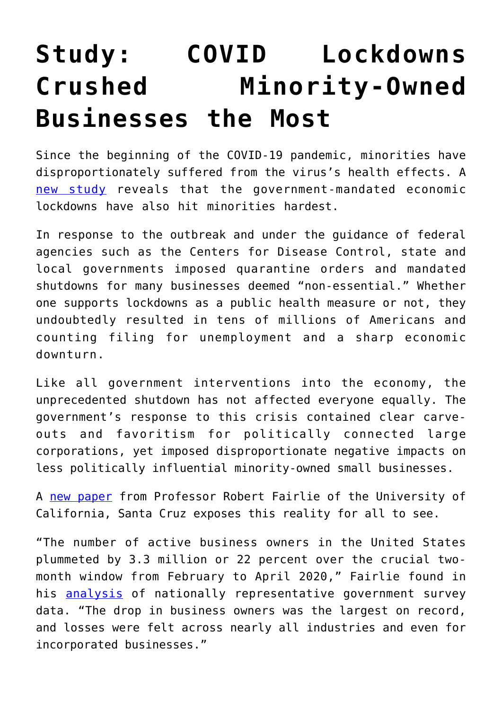## **[Study: COVID Lockdowns](https://intellectualtakeout.org/2020/06/study-covid-lockdowns-crushed-minority-owned-businesses-the-most/) [Crushed Minority-Owned](https://intellectualtakeout.org/2020/06/study-covid-lockdowns-crushed-minority-owned-businesses-the-most/) [Businesses the Most](https://intellectualtakeout.org/2020/06/study-covid-lockdowns-crushed-minority-owned-businesses-the-most/)**

Since the beginning of the COVID-19 pandemic, minorities have disproportionately suffered from the virus's health effects. A [new study](https://siepr.stanford.edu/sites/default/files/publications/20-022.pdf) reveals that the government-mandated economic lockdowns have also hit minorities hardest.

In response to the outbreak and under the guidance of federal agencies such as the Centers for Disease Control, state and local governments imposed quarantine orders and mandated shutdowns for many businesses deemed "non-essential." Whether one supports lockdowns as a public health measure or not, they undoubtedly resulted in tens of millions of Americans and counting filing for unemployment and a sharp economic downturn.

Like all government interventions into the economy, the unprecedented shutdown has not affected everyone equally. The government's response to this crisis contained clear carveouts and favoritism for politically connected large corporations, yet imposed disproportionate negative impacts on less politically influential minority-owned small businesses.

A [new paper](https://siepr.stanford.edu/sites/default/files/publications/20-022.pdf) from Professor Robert Fairlie of the University of California, Santa Cruz exposes this reality for all to see.

"The number of active business owners in the United States plummeted by 3.3 million or 22 percent over the crucial twomonth window from February to April 2020," Fairlie found in his **[analysis](https://siepr.stanford.edu/sites/default/files/publications/20-022.pdf)** of nationally representative government survey data. "The drop in business owners was the largest on record, and losses were felt across nearly all industries and even for incorporated businesses."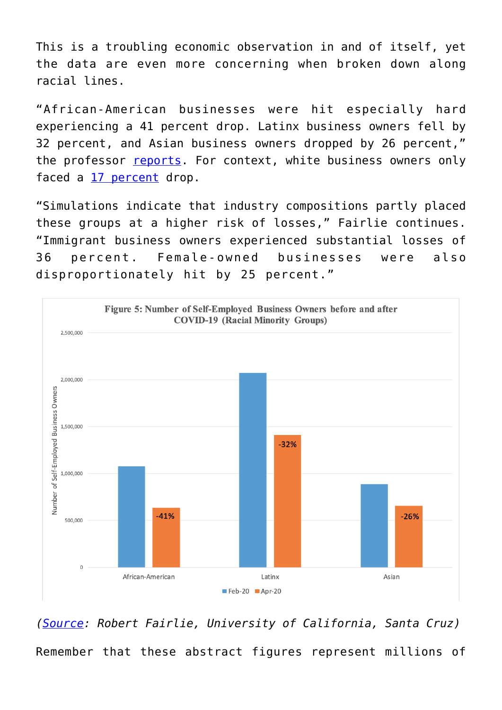This is a troubling economic observation in and of itself, yet the data are even more concerning when broken down along racial lines.

"African-American businesses were hit especially hard experiencing a 41 percent drop. Latinx business owners fell by 32 percent, and Asian business owners dropped by 26 percent," the professor [reports](https://siepr.stanford.edu/sites/default/files/publications/20-022.pdf). For context, white business owners only faced a [17 percent](https://www.nytimes.com/interactive/2020/06/18/us/18virus-smallbiz.html) drop.

"Simulations indicate that industry compositions partly placed these groups at a higher risk of losses," Fairlie continues. "Immigrant business owners experienced substantial losses of 36 percent. Female-owned businesses were also disproportionately hit by 25 percent."



*([Source](https://siepr.stanford.edu/sites/default/files/publications/20-022.pdf): Robert Fairlie, University of California, Santa Cruz)* Remember that these abstract figures represent millions of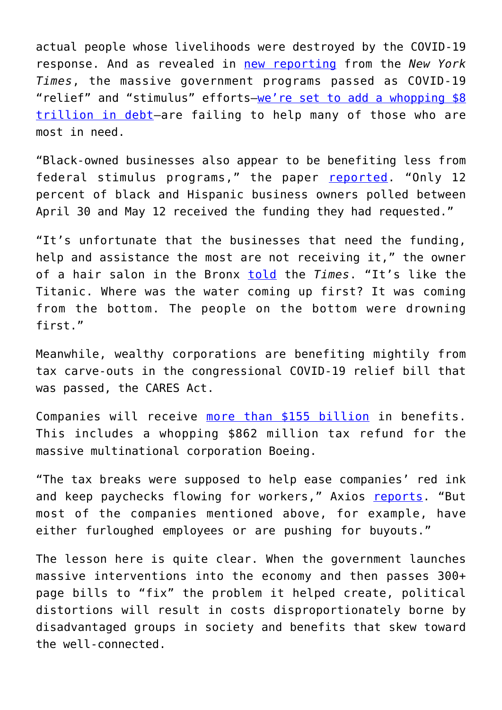actual people whose livelihoods were destroyed by the COVID-19 response. And as revealed in [new reporting](https://www.nytimes.com/interactive/2020/06/18/us/18virus-smallbiz.html) from the *New York Times*, the massive government programs passed as COVID-19 "relief" and "stimulus" efforts—[we're set to add a whopping \\$8](https://fee.org/articles/one-overlooked-covid-19-legacy-will-haunt-your-grandchildren/) [trillion in debt—](https://fee.org/articles/one-overlooked-covid-19-legacy-will-haunt-your-grandchildren/)are failing to help many of those who are most in need.

"Black-owned businesses also appear to be benefiting less from federal stimulus programs," the paper [reported](https://www.nytimes.com/interactive/2020/06/18/us/18virus-smallbiz.html). "Only 12 percent of black and Hispanic business owners polled between April 30 and May 12 received the funding they had requested."

"It's unfortunate that the businesses that need the funding, help and assistance the most are not receiving it," the owner of a hair salon in the Bronx [told](https://www.nytimes.com/interactive/2020/06/18/us/18virus-smallbiz.html) the *Times*. "It's like the Titanic. Where was the water coming up first? It was coming from the bottom. The people on the bottom were drowning first."

Meanwhile, wealthy corporations are benefiting mightily from tax carve-outs in the congressional COVID-19 relief bill that was passed, the CARES Act.

Companies will receive [more than \\$155 billion](https://www.axios.com/coronavirus-tax-breaks-corporations-nol-interest-deduction-d0cfd642-d324-412c-985a-aabd7080ef37.html?utm_source=newsletter&utm_medium=email&utm_campaign=newsletter_axiosam&stream=top) in benefits. This includes a whopping \$862 million tax refund for the massive multinational corporation Boeing.

"The tax breaks were supposed to help ease companies' red ink and keep paychecks flowing for workers," Axios [reports.](https://www.axios.com/coronavirus-tax-breaks-corporations-nol-interest-deduction-d0cfd642-d324-412c-985a-aabd7080ef37.html?utm_source=newsletter&utm_medium=email&utm_campaign=newsletter_axiosam&stream=top) "But most of the companies mentioned above, for example, have either furloughed employees or are pushing for buyouts."

The lesson here is quite clear. When the government launches massive interventions into the economy and then passes 300+ page bills to "fix" the problem it helped create, political distortions will result in costs disproportionately borne by disadvantaged groups in society and benefits that skew toward the well-connected.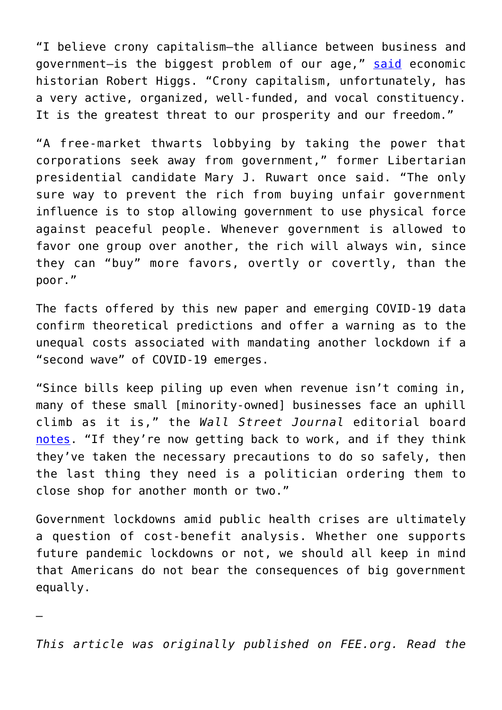"I believe crony capitalism—the alliance between business and government—is the biggest problem of our age," [said](https://neighborhoodeffects.mercatus.org/2014/04/30/what-is-the-greatest-threat-to-freedom-and-prosperity/) economic historian Robert Higgs, "Crony capitalism, unfortunately, has a very active, organized, well-funded, and vocal constituency. It is the greatest threat to our prosperity and our freedom."

"A free-market thwarts lobbying by taking the power that corporations seek away from government," former Libertarian presidential candidate Mary J. Ruwart once said. "The only sure way to prevent the rich from buying unfair government influence is to stop allowing government to use physical force against peaceful people. Whenever government is allowed to favor one group over another, the rich will always win, since they can "buy" more favors, overtly or covertly, than the poor."

The facts offered by this new paper and emerging COVID-19 data confirm theoretical predictions and offer a warning as to the unequal costs associated with mandating another lockdown if a "second wave" of COVID-19 emerges.

"Since bills keep piling up even when revenue isn't coming in, many of these small [minority-owned] businesses face an uphill climb as it is," the *Wall Street Journal* editorial board [notes.](https://www.wsj.com/articles/lockdowns-hit-minority-businesses-11592167529?mod=opinion_lead_pos3) "If they're now getting back to work, and if they think they've taken the necessary precautions to do so safely, then the last thing they need is a politician ordering them to close shop for another month or two."

Government lockdowns amid public health crises are ultimately a question of cost-benefit analysis. Whether one supports future pandemic lockdowns or not, we should all keep in mind that Americans do not bear the consequences of big government equally.

*This article was originally published on FEE.org. Read the*

—